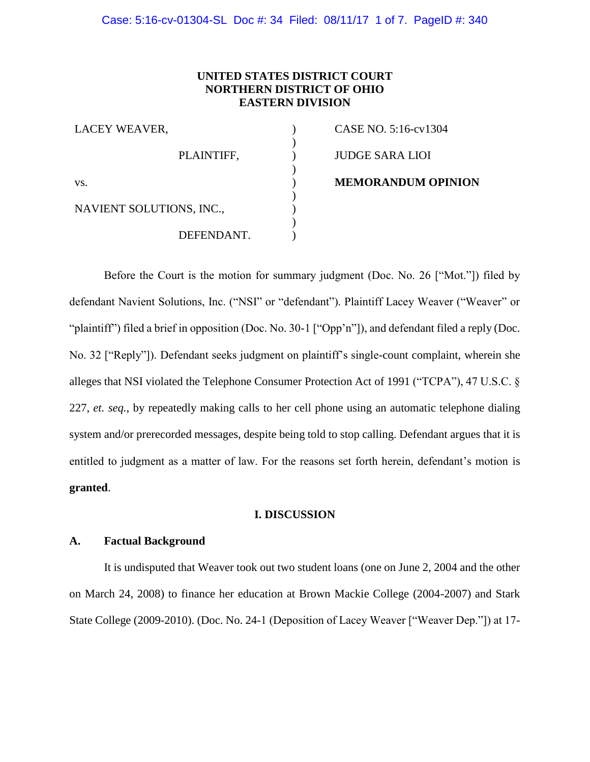# **UNITED STATES DISTRICT COURT NORTHERN DISTRICT OF OHIO EASTERN DIVISION**

| LACEY WEAVER,            |  |
|--------------------------|--|
| PLAINTIFF,               |  |
| VS.                      |  |
| NAVIENT SOLUTIONS, INC., |  |
| DEFENDANT.               |  |

 $\text{CASE NO. 5:16-cv1304}$ ) JUDGE SARA LIOI **VEMORANDUM OPINION** 

Before the Court is the motion for summary judgment (Doc. No. 26 ["Mot."]) filed by defendant Navient Solutions, Inc. ("NSI" or "defendant"). Plaintiff Lacey Weaver ("Weaver" or "plaintiff") filed a brief in opposition (Doc. No. 30-1 ["Opp'n"]), and defendant filed a reply (Doc. No. 32 ["Reply"]). Defendant seeks judgment on plaintiff's single-count complaint, wherein she alleges that NSI violated the Telephone Consumer Protection Act of 1991 ("TCPA"), 47 U.S.C. § 227, *et. seq.*, by repeatedly making calls to her cell phone using an automatic telephone dialing system and/or prerecorded messages, despite being told to stop calling. Defendant argues that it is entitled to judgment as a matter of law. For the reasons set forth herein, defendant's motion is **granted**.

# **I. DISCUSSION**

### **A. Factual Background**

It is undisputed that Weaver took out two student loans (one on June 2, 2004 and the other on March 24, 2008) to finance her education at Brown Mackie College (2004-2007) and Stark State College (2009-2010). (Doc. No. 24-1 (Deposition of Lacey Weaver ["Weaver Dep."]) at 17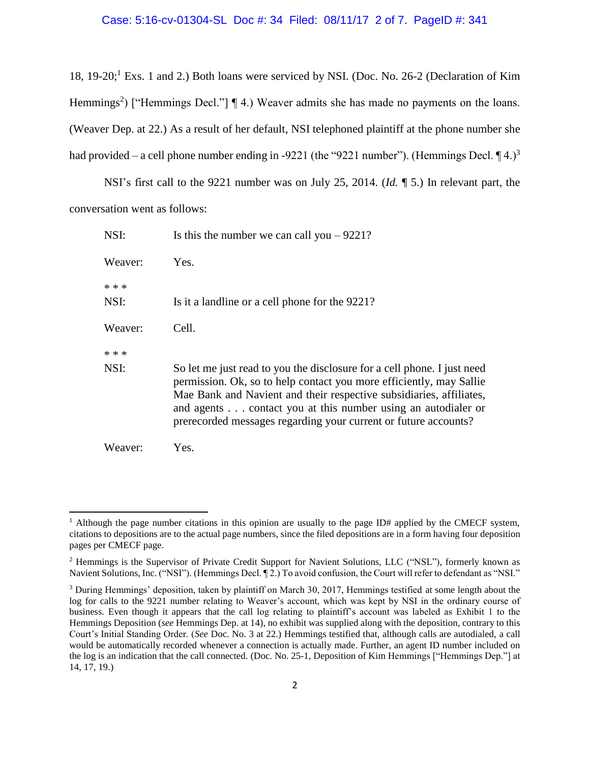18, 19-20;<sup>1</sup> Exs. 1 and 2.) Both loans were serviced by NSI. (Doc. No. 26-2 (Declaration of Kim Hemmings<sup>2</sup>) ["Hemmings Decl."]  $\P$  4.) Weaver admits she has made no payments on the loans. (Weaver Dep. at 22.) As a result of her default, NSI telephoned plaintiff at the phone number she had provided – a cell phone number ending in -9221 (the "9221 number"). (Hemmings Decl.  $\P$ 4.)<sup>3</sup>

NSI's first call to the 9221 number was on July 25, 2014. (*Id.* ¶ 5.) In relevant part, the conversation went as follows:

| NSI:          | Is this the number we can call you $-9221$ ?                                                                                                                                                                                                                                                                                                             |
|---------------|----------------------------------------------------------------------------------------------------------------------------------------------------------------------------------------------------------------------------------------------------------------------------------------------------------------------------------------------------------|
| Weaver:       | Yes.                                                                                                                                                                                                                                                                                                                                                     |
| * * *<br>NSI: | Is it a landline or a cell phone for the 9221?                                                                                                                                                                                                                                                                                                           |
| Weaver:       | Cell.                                                                                                                                                                                                                                                                                                                                                    |
| * * *         |                                                                                                                                                                                                                                                                                                                                                          |
| NSI:          | So let me just read to you the disclosure for a cell phone. I just need<br>permission. Ok, so to help contact you more efficiently, may Sallie<br>Mae Bank and Navient and their respective subsidiaries, affiliates,<br>and agents contact you at this number using an autodialer or<br>prerecorded messages regarding your current or future accounts? |
| Weaver:       | Yes.                                                                                                                                                                                                                                                                                                                                                     |

 $\overline{a}$ 

<sup>&</sup>lt;sup>1</sup> Although the page number citations in this opinion are usually to the page ID# applied by the CMECF system, citations to depositions are to the actual page numbers, since the filed depositions are in a form having four deposition pages per CMECF page.

<sup>2</sup> Hemmings is the Supervisor of Private Credit Support for Navient Solutions, LLC ("NSL"), formerly known as Navient Solutions, Inc. ("NSI"). (Hemmings Decl.  $\P$ 2.) To avoid confusion, the Court will refer to defendant as "NSI."

<sup>3</sup> During Hemmings' deposition, taken by plaintiff on March 30, 2017, Hemmings testified at some length about the log for calls to the 9221 number relating to Weaver's account, which was kept by NSI in the ordinary course of business. Even though it appears that the call log relating to plaintiff's account was labeled as Exhibit 1 to the Hemmings Deposition (*see* Hemmings Dep. at 14), no exhibit was supplied along with the deposition, contrary to this Court's Initial Standing Order. (*See* Doc. No. 3 at 22.) Hemmings testified that, although calls are autodialed, a call would be automatically recorded whenever a connection is actually made. Further, an agent ID number included on the log is an indication that the call connected. (Doc. No. 25-1, Deposition of Kim Hemmings ["Hemmings Dep."] at 14, 17, 19.)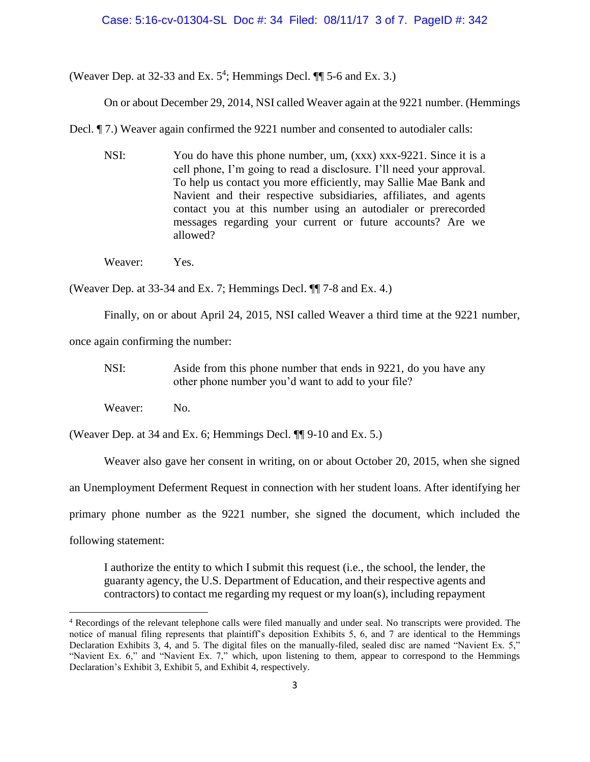#### Case: 5:16-cv-01304-SL Doc #: 34 Filed: 08/11/17 3 of 7. PageID #: 342

(Weaver Dep. at 32-33 and Ex.  $5^4$ ; Hemmings Decl.  $\P$  5-6 and Ex. 3.)

On or about December 29, 2014, NSI called Weaver again at the 9221 number. (Hemmings

Decl. ¶ 7.) Weaver again confirmed the 9221 number and consented to autodialer calls:

NSI: You do have this phone number, um, (xxx) xxx-9221. Since it is a cell phone, I'm going to read a disclosure. I'll need your approval. To help us contact you more efficiently, may Sallie Mae Bank and Navient and their respective subsidiaries, affiliates, and agents contact you at this number using an autodialer or prerecorded messages regarding your current or future accounts? Are we allowed?

Weaver: Yes.

(Weaver Dep. at 33-34 and Ex. 7; Hemmings Decl. ¶¶ 7-8 and Ex. 4.)

Finally, on or about April 24, 2015, NSI called Weaver a third time at the 9221 number,

once again confirming the number:

NSI: Aside from this phone number that ends in 9221, do you have any other phone number you'd want to add to your file?

Weaver: No.

(Weaver Dep. at 34 and Ex. 6; Hemmings Decl. ¶¶ 9-10 and Ex. 5.)

Weaver also gave her consent in writing, on or about October 20, 2015, when she signed

an Unemployment Deferment Request in connection with her student loans. After identifying her

primary phone number as the 9221 number, she signed the document, which included the

following statement:

 $\overline{\phantom{a}}$ 

I authorize the entity to which I submit this request (i.e., the school, the lender, the guaranty agency, the U.S. Department of Education, and their respective agents and contractors) to contact me regarding my request or my loan(s), including repayment

<sup>4</sup> Recordings of the relevant telephone calls were filed manually and under seal. No transcripts were provided. The notice of manual filing represents that plaintiff's deposition Exhibits 5, 6, and 7 are identical to the Hemmings Declaration Exhibits 3, 4, and 5. The digital files on the manually-filed, sealed disc are named "Navient Ex. 5," "Navient Ex. 6," and "Navient Ex. 7," which, upon listening to them, appear to correspond to the Hemmings Declaration's Exhibit 3, Exhibit 5, and Exhibit 4, respectively.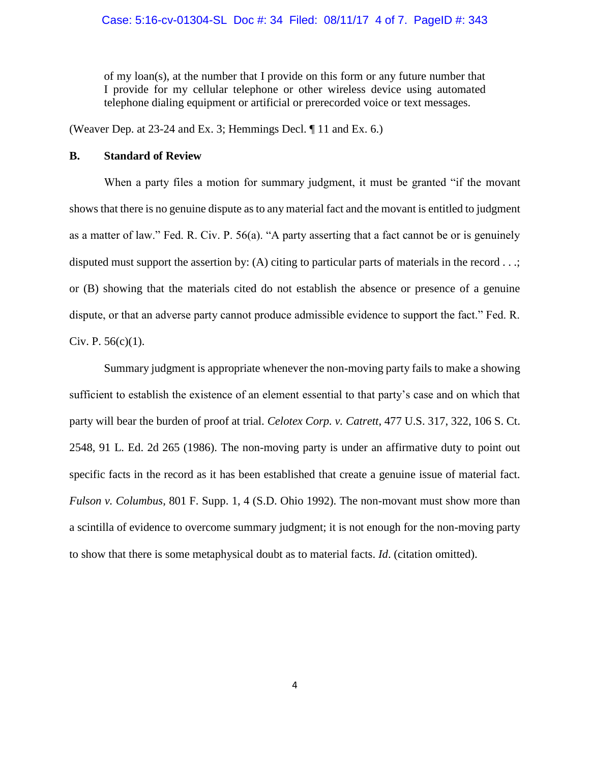of my loan(s), at the number that I provide on this form or any future number that I provide for my cellular telephone or other wireless device using automated telephone dialing equipment or artificial or prerecorded voice or text messages.

(Weaver Dep. at 23-24 and Ex. 3; Hemmings Decl. ¶ 11 and Ex. 6.)

## **B. Standard of Review**

When a party files a motion for summary judgment, it must be granted "if the movant shows that there is no genuine dispute as to any material fact and the movant is entitled to judgment as a matter of law." Fed. R. Civ. P. 56(a). "A party asserting that a fact cannot be or is genuinely disputed must support the assertion by: (A) citing to particular parts of materials in the record . . .; or (B) showing that the materials cited do not establish the absence or presence of a genuine dispute, or that an adverse party cannot produce admissible evidence to support the fact." Fed. R. Civ. P.  $56(c)(1)$ .

Summary judgment is appropriate whenever the non-moving party fails to make a showing sufficient to establish the existence of an element essential to that party's case and on which that party will bear the burden of proof at trial. *Celotex Corp. v. Catrett*, 477 U.S. 317, 322, 106 S. Ct. 2548, 91 L. Ed. 2d 265 (1986). The non-moving party is under an affirmative duty to point out specific facts in the record as it has been established that create a genuine issue of material fact. *Fulson v. Columbus*, 801 F. Supp. 1, 4 (S.D. Ohio 1992). The non-movant must show more than a scintilla of evidence to overcome summary judgment; it is not enough for the non-moving party to show that there is some metaphysical doubt as to material facts. *Id*. (citation omitted).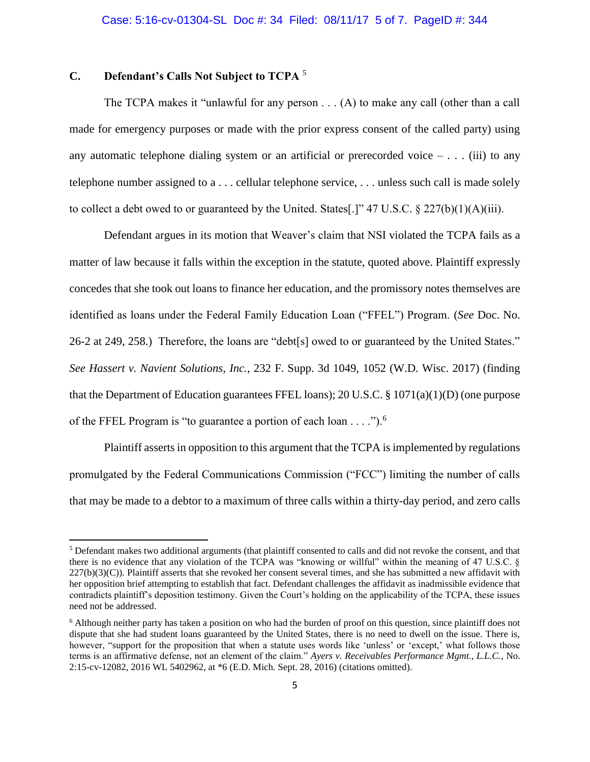# **C. Defendant's Calls Not Subject to TCPA** <sup>5</sup>

 $\overline{\phantom{a}}$ 

The TCPA makes it "unlawful for any person . . . (A) to make any call (other than a call made for emergency purposes or made with the prior express consent of the called party) using any automatic telephone dialing system or an artificial or prerecorded voice  $-\ldots$  (iii) to any telephone number assigned to a . . . cellular telephone service, . . . unless such call is made solely to collect a debt owed to or guaranteed by the United. States [.]" 47 U.S.C.  $\S 227(b)(1)(A)(iii)$ .

Defendant argues in its motion that Weaver's claim that NSI violated the TCPA fails as a matter of law because it falls within the exception in the statute, quoted above. Plaintiff expressly concedes that she took out loans to finance her education, and the promissory notes themselves are identified as loans under the Federal Family Education Loan ("FFEL") Program. (*See* Doc. No. 26-2 at 249, 258.) Therefore, the loans are "debt[s] owed to or guaranteed by the United States." *See Hassert v. Navient Solutions, Inc.*, 232 F. Supp. 3d 1049, 1052 (W.D. Wisc. 2017) (finding that the Department of Education guarantees FFEL loans); 20 U.S.C. § 1071(a)(1)(D) (one purpose of the FFEL Program is "to guarantee a portion of each loan . . . .").<sup>6</sup>

Plaintiff asserts in opposition to this argument that the TCPA is implemented by regulations promulgated by the Federal Communications Commission ("FCC") limiting the number of calls that may be made to a debtor to a maximum of three calls within a thirty-day period, and zero calls

<sup>&</sup>lt;sup>5</sup> Defendant makes two additional arguments (that plaintiff consented to calls and did not revoke the consent, and that there is no evidence that any violation of the TCPA was "knowing or willful" within the meaning of 47 U.S.C. §  $227(b)(3)(C)$ ). Plaintiff asserts that she revoked her consent several times, and she has submitted a new affidavit with her opposition brief attempting to establish that fact. Defendant challenges the affidavit as inadmissible evidence that contradicts plaintiff's deposition testimony. Given the Court's holding on the applicability of the TCPA, these issues need not be addressed.

<sup>6</sup> Although neither party has taken a position on who had the burden of proof on this question, since plaintiff does not dispute that she had student loans guaranteed by the United States, there is no need to dwell on the issue. There is, however, "support for the proposition that when a statute uses words like 'unless' or 'except,' what follows those terms is an affirmative defense, not an element of the claim." *Ayers v. Receivables Performance Mgmt., L.L.C.*, No. 2:15-cv-12082, 2016 WL 5402962, at \*6 (E.D. Mich. Sept. 28, 2016) (citations omitted).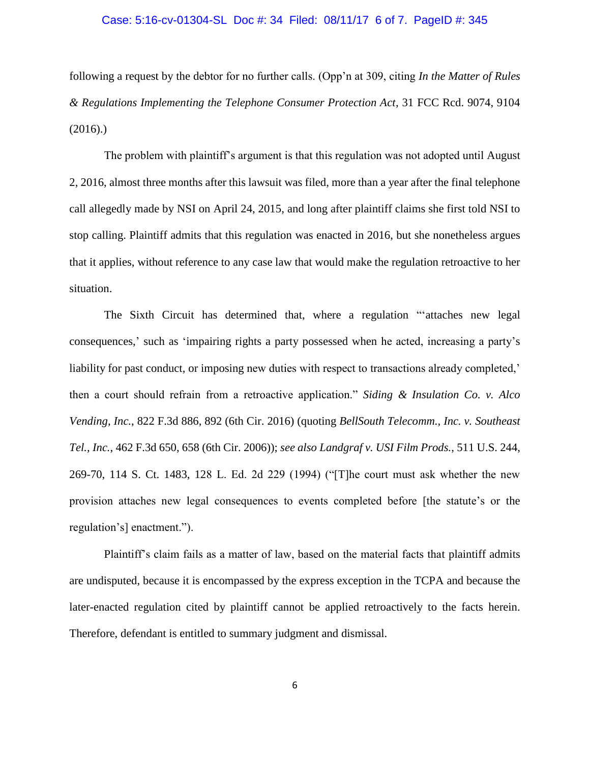#### Case: 5:16-cv-01304-SL Doc #: 34 Filed: 08/11/17 6 of 7. PageID #: 345

following a request by the debtor for no further calls. (Opp'n at 309, citing *In the Matter of Rules & Regulations Implementing the Telephone Consumer Protection Act*, 31 FCC Rcd. 9074, 9104  $(2016).$ 

The problem with plaintiff's argument is that this regulation was not adopted until August 2, 2016, almost three months after this lawsuit was filed, more than a year after the final telephone call allegedly made by NSI on April 24, 2015, and long after plaintiff claims she first told NSI to stop calling. Plaintiff admits that this regulation was enacted in 2016, but she nonetheless argues that it applies, without reference to any case law that would make the regulation retroactive to her situation.

The Sixth Circuit has determined that, where a regulation "'attaches new legal consequences,' such as 'impairing rights a party possessed when he acted, increasing a party's liability for past conduct, or imposing new duties with respect to transactions already completed,' then a court should refrain from a retroactive application." *Siding & Insulation Co. v. Alco Vending, Inc.*, 822 F.3d 886, 892 (6th Cir. 2016) (quoting *BellSouth Telecomm., Inc. v. Southeast Tel., Inc.*, 462 F.3d 650, 658 (6th Cir. 2006)); *see also Landgraf v. USI Film Prods.*, 511 U.S. 244, 269-70, 114 S. Ct. 1483, 128 L. Ed. 2d 229 (1994) ("[T]he court must ask whether the new provision attaches new legal consequences to events completed before [the statute's or the regulation's] enactment.").

Plaintiff's claim fails as a matter of law, based on the material facts that plaintiff admits are undisputed, because it is encompassed by the express exception in the TCPA and because the later-enacted regulation cited by plaintiff cannot be applied retroactively to the facts herein. Therefore, defendant is entitled to summary judgment and dismissal.